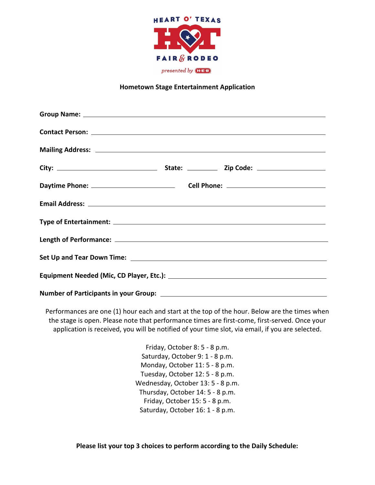

## **Hometown Stage Entertainment Application**

Performances are one (1) hour each and start at the top of the hour. Below are the times when the stage is open. Please note that performance times are first-come, first-served. Once your application is received, you will be notified of your time slot, via email, if you are selected.

> Friday, October 8: 5 - 8 p.m. Saturday, October 9: 1 - 8 p.m. Monday, October 11: 5 - 8 p.m. Tuesday, October 12: 5 - 8 p.m. Wednesday, October 13: 5 - 8 p.m. Thursday, October 14: 5 - 8 p.m. Friday, October 15: 5 - 8 p.m. Saturday, October 16: 1 - 8 p.m.

**Please list your top 3 choices to perform according to the Daily Schedule:**